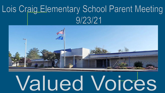### Lois Craig Elementary School Parent Meeting  $9/23/21$



# **Valued Voices**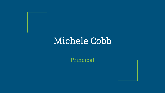### Michele Cobb

Principal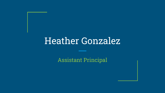### Heather Gonzalez

Assistant Principal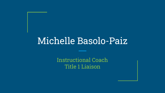### Michelle Basolo-Paiz

Instructional Coach Title 1 Liaison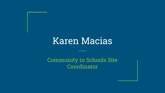### Karen Macias

#### Community in Schools Site Coordinator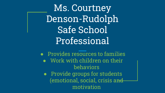Ms. Courtney Denson-Rudolph Safe School Professional

 $\bullet$  Provides resources to families ● Work with children on their behaviors ● Provide groups for students (emotional, social, crisis an<del>d</del> motivation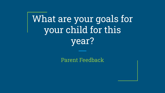## What are your goals for your child for this year?

Parent Feedback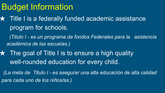### Budget Information

**★ Title I is a federally funded academic assistance** program for schools.

 *(Titulo I - es un programa de fondos Federales para la asistencia académica de las escuelas.)*

 $\star$  The goal of Title I is to ensure a high quality well-rounded education for every child.

*(La meta de Titulo I - es asegurar una alta educación de alta calidad para cada uno de los niños/as.)*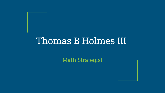### Thomas B Holmes III

Math Strategist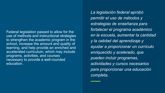Federal legislation passed to allow for the use of methods and instructional strategies to strengthen the academic program in the school, increase the amount and quality of learning, and help provide an enriched and accelerated curriculum, which may include programs, activities, and courses necessary to provide a well-rounded education.

*La legislación federal aprobó permitir el uso de métodos y estrategias de enseñanza para fortalecer el programa académico en la escuela, aumentar la cantidad y la calidad del aprendizaje y ayudar a proporcionar un currículo enriquecido y acelerado, que pueden incluir programas, actividades y cursos necesarios para proporcionar una educación completa.*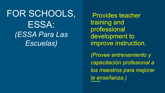FOR SCHOOLS, ESSA: *(ESSA Para Las Escuelas)*

 Provides teacher training and professional development to improve instruction.

*(Provee entrenamiento y capacitación profesional a los maestros para mejorar la enseñanza.)*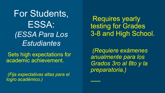For Students, ESSA: *(ESSA Para Los Estudiantes*

 Sets high expectations for academic achievement.

*(Fija expectativas altas para el logro académico.)*

 Requires yearly testing for Grades 3-8 and High School.

*(Requiere exámenes anualmente para los Grados 3ro al 8to y la preparatoria.)*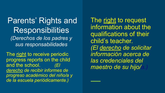Parents' Rights and **Responsibilities** *(Derechos de los padres y sus responsabilidades*

The right to receive periodic progress reports on the child and the school. *(E) derecho de recibir informes de progreso académico del niño/a y de la escuela periódicamente.)*

The right to request information about the qualifications of their child's teacher. *(El derecho de solicitar información acerca de las credenciales del maestro de su hijo/a.)*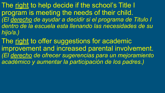The right to help decide if the school's Title I program is meeting the needs of their child. *(El derecho de ayudar a decidir si el programa de Titulo I dentro de la escuela esta llenando las necesidades de su hijo/a.)*

The right to offer suggestions for academic improvement and increased parental involvement. *(El derecho de ofrecer sugerencias para un mejoramiento académico y aumentar la participación de los padres.)*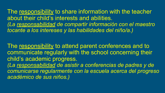The responsibility to share information with the teacher about their child's interests and abilities. *(La responsabilidad de compartir información con el maestro tocante a los intereses y las habilidades del niño/a.)*

The responsibility to attend parent conferences and to communicate regularly with the school concerning their child's academic progress. *(La responsabilidad de asistir a conferencias de padres y de comunicarse regularmente con la escuela acerca del progreso académico de sus niños.)*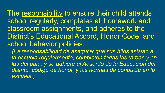The responsibility to ensure their child attends school regularly, completes all homework and classroom assignments, and adheres to the District's Educational Accord, Honor Code, and school behavior policies. *(La responsabilidad de asegurar que sus hijos asistan a* 

*la escuela regularmente, completen todas las tareas y en las del aula, y se adhiere al Acuerdo de la Educación del distrito, código de honor, y las normas de conducta en la escuela.)*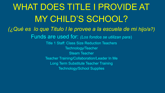WHAT DOES TITLE I PROVIDE AT MY CHILD'S SCHOOL? *(¿Qué es lo que Titulo I le provee a la escuela de mi hijo/a?)* Funds are used for: *(Los fondos se utilizan para*) Title 1 Staff: Class Size Reduction Teachers Technology/Teacher Steam Teacher Teacher Training/Collaboration/Leader In Me Long Term Substitute Teacher Training Technology/School Supplies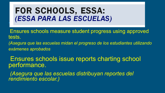#### **FOR SCHOOLS, ESSA: (ESSA PARA LAS ESCUELAS)**

 Ensures schools measure student progress using approved tests.

*(Asegura que las escuelas midan el progreso de los estudiantes utilizando exámenes aprobados*

Ensures schools issue reports charting school performance.

*(Asegura que las escuelas distribuyan reportes del rendimiento escolar.)*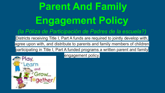# **Parent And Family Engagement Policy**

#### *(la Póliza de Participación de Padres de la escuela?)*

Districts receiving Title I, Part A funds are required to jointly develop with,

agree upon with, and distribute to parents and family members of children

participating in Title I, Part A funded programs a written parent and family

engagement policy.

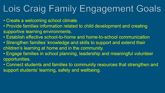### Lois Craig Family Engagement Goals

- Create a welcoming school climate.
- Provide families information related to child development and creating supportive learning environments.
- Establish effective school-to-home and home-to-school communication
- Strengthen families' knowledge and skills to support and extend their children's learning at home and in the community.
- Engage families in school planning, leadership and meaningful volunteer opportunities.
- Connect students and families to community resources that strengthen and support students' learning, safety and wellbeing.